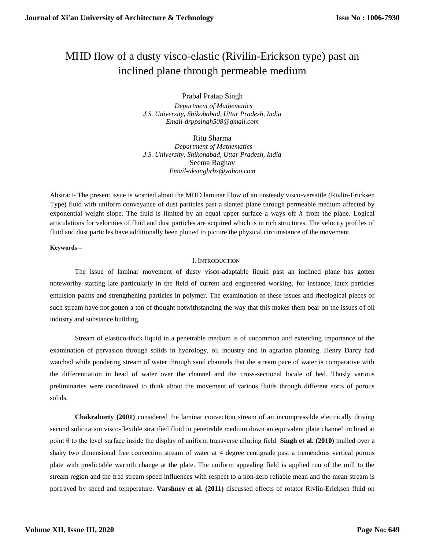# MHD flow of a dusty visco-elastic (Rivilin-Erickson type) past an inclined plane through permeable medium

Prabal Pratap Singh  *Department of Mathematics J.S. University, Shikohabad, Uttar Pradesh, India [Email-drppsingh508@gmail.com](mailto:Email-drppsingh508@gmail.com)* 

Ritu Sharma  *Department of Mathematics J.S. University, Shikohabad, Uttar Pradesh, India* Seema Raghav *Email-aksinghrbs@yahoo.com*

Abstract- The present issue is worried about the MHD laminar Flow of an unsteady visco-versatile (Rivlin-Ericksen Type) fluid with uniform conveyance of dust particles past a slanted plane through permeable medium affected by exponential weight slope. The fluid is limited by an equal upper surface a ways off  $h$  from the plane. Logical articulations for velocities of fluid and dust particles are acquired which is in rich structures. The velocity profiles of fluid and dust particles have additionally been plotted to picture the physical circumstance of the movement.

## **Keywords –**

## I. INTRODUCTION

The issue of laminar movement of dusty visco-adaptable liquid past an inclined plane has gotten noteworthy starting late particularly in the field of current and engineered working, for instance, latex particles emulsion paints and strengthening particles in polymer. The examination of these issues and rheological pieces of such stream have not gotten a ton of thought notwithstanding the way that this makes them bear on the issues of oil industry and substance building.

Stream of elastico-thick liquid in a penetrable medium is of uncommon and extending importance of the examination of pervasion through solids in hydrology, oil industry and in agrarian planning. Henry Darcy had watched while pondering stream of water through sand channels that the stream pace of water is comparative with the differentiation in head of water over the channel and the cross-sectional locale of bed. Thusly various preliminaries were coordinated to think about the movement of various fluids through different sorts of porous solids.

**Chakraborty (2001)** considered the laminar convection stream of an incompressible electrically driving second solicitation visco-flexible stratified fluid in penetrable medium down an equivalent plate channel inclined at point θ to the level surface inside the display of uniform transverse alluring field. **Singh et al. (2010)** mulled over a shaky two dimensional free convection stream of water at 4 degree centigrade past a tremendous vertical porous plate with predictable warmth change at the plate. The uniform appealing field is applied run of the mill to the stream region and the free stream speed influences with respect to a non-zero reliable mean and the mean stream is portrayed by speed and temperature. **Varshney et al. (2011)** discussed effects of rotator Rivlin-Ericksen fluid on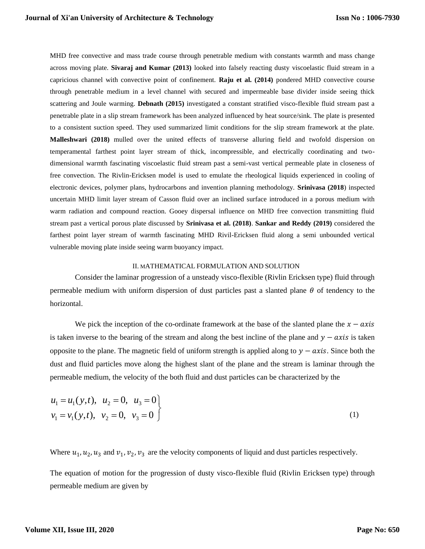MHD free convective and mass trade course through penetrable medium with constants warmth and mass change across moving plate. **Sivaraj and Kumar (2013)** looked into falsely reacting dusty viscoelastic fluid stream in a capricious channel with convective point of confinement. **Raju et al. (2014)** pondered MHD convective course through penetrable medium in a level channel with secured and impermeable base divider inside seeing thick scattering and Joule warming. **Debnath (2015)** investigated a constant stratified visco-flexible fluid stream past a penetrable plate in a slip stream framework has been analyzed influenced by heat source/sink. The plate is presented to a consistent suction speed. They used summarized limit conditions for the slip stream framework at the plate. **Malleshwari (2018)** mulled over the united effects of transverse alluring field and twofold dispersion on temperamental farthest point layer stream of thick, incompressible, and electrically coordinating and twodimensional warmth fascinating viscoelastic fluid stream past a semi-vast vertical permeable plate in closeness of free convection. The Rivlin-Ericksen model is used to emulate the rheological liquids experienced in cooling of electronic devices, polymer plans, hydrocarbons and invention planning methodology. **Srinivasa (2018**) inspected uncertain MHD limit layer stream of Casson fluid over an inclined surface introduced in a porous medium with warm radiation and compound reaction. Gooey dispersal influence on MHD free convection transmitting fluid stream past a vertical porous plate discussed by **Srinivasa et al. (2018)**. **Sankar and Reddy (2019)** considered the farthest point layer stream of warmth fascinating MHD Rivil-Ericksen fluid along a semi unbounded vertical vulnerable moving plate inside seeing warm buoyancy impact.

#### II. MATHEMATICAL FORMULATION AND SOLUTION

Consider the laminar progression of a unsteady visco-flexible (Rivlin Ericksen type) fluid through permeable medium with uniform dispersion of dust particles past a slanted plane  $\theta$  of tendency to the horizontal.

We pick the inception of the co-ordinate framework at the base of the slanted plane the  $x - axis$ is taken inverse to the bearing of the stream and along the best incline of the plane and  $y - axis$  is taken opposite to the plane. The magnetic field of uniform strength is applied along to  $y - axis$ . Since both the dust and fluid particles move along the highest slant of the plane and the stream is laminar through the permeable medium, the velocity of the both fluid and dust particles can be characterized by the

$$
u_1 = u_1(y,t), \quad u_2 = 0, \quad u_3 = 0
$$
  

$$
v_1 = v_1(y,t), \quad v_2 = 0, \quad v_3 = 0
$$
 (1)

Where  $u_1, u_2, u_3$  and  $v_1, v_2, v_3$  are the velocity components of liquid and dust particles respectively.

The equation of motion for the progression of dusty visco-flexible fluid (Rivlin Ericksen type) through permeable medium are given by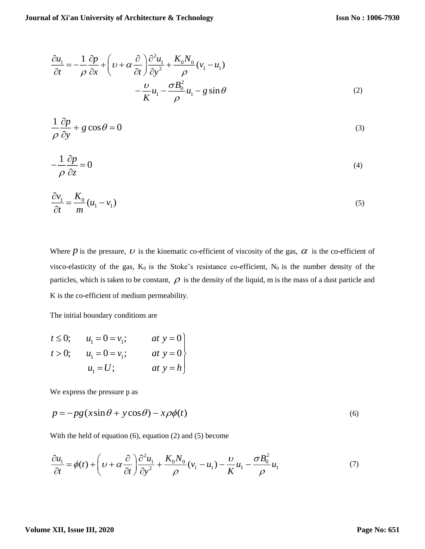$$
\frac{\partial u_1}{\partial t} = -\frac{1}{\rho} \frac{\partial p}{\partial x} + \left( \nu + \alpha \frac{\partial}{\partial t} \right) \frac{\partial^2 u_1}{\partial y^2} + \frac{K_0 N_0}{\rho} (v_1 - u_1) \n- \frac{\nu}{K} u_1 - \frac{\sigma B_0^2}{\rho} u_1 - g \sin \theta
$$
\n(2)

$$
\frac{1}{\rho} \frac{\partial p}{\partial y} + g \cos \theta = 0 \tag{3}
$$

$$
-\frac{1}{\rho}\frac{\partial p}{\partial z} = 0\tag{4}
$$

$$
\frac{\partial v_1}{\partial t} = \frac{K_0}{m} (u_1 - v_1) \tag{5}
$$

Where  $p$  is the pressure,  $v$  is the kinematic co-efficient of viscosity of the gas,  $\alpha$  is the co-efficient of visco-elasticity of the gas,  $K_0$  is the Stoke's resistance co-efficient,  $N_0$  is the number density of the particles, which is taken to be constant,  $\rho$  is the density of the liquid, m is the mass of a dust particle and K is the co-efficient of medium permeability.

The initial boundary conditions are

$$
t \le 0;
$$
  $u_1 = 0 = v_1;$  at  $y = 0$   
\n $t > 0;$   $u_1 = 0 = v_1;$  at  $y = 0$   
\n $u_1 = U;$  at  $y = h$ 

We express the pressure p as

$$
p = -pg(x\sin\theta + y\cos\theta) - x\rho\phi(t)
$$
\n(6)

With the held of equation (6), equation (2) and (5) become

$$
\frac{\partial u_1}{\partial t} = \phi(t) + \left(\nu + \alpha \frac{\partial}{\partial t}\right) \frac{\partial^2 u_1}{\partial y^2} + \frac{K_0 N_0}{\rho} (v_1 - u_1) - \frac{\nu}{K} u_1 - \frac{\sigma B_0^2}{\rho} u_1 \tag{7}
$$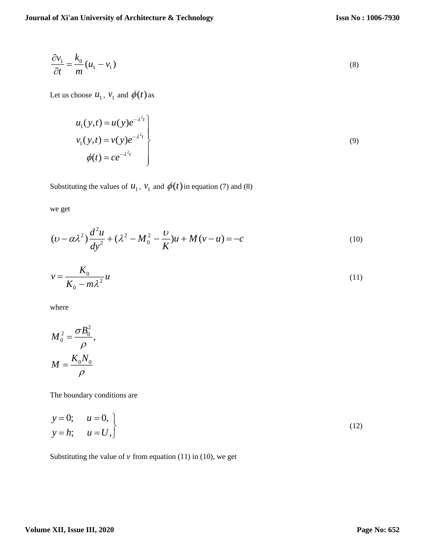$$
\frac{\partial v_1}{\partial t} = \frac{k_0}{m} (u_1 - v_1)
$$
\n(8)

Let us choose  $u_1$ ,  $v_1$  and  $\phi(t)$  as

$$
u_1(y,t) = u(y)e^{-\lambda^2 t}
$$
  
\n
$$
v_1(y,t) = v(y)e^{-\lambda^2 t}
$$
  
\n
$$
\phi(t) = ce^{-\lambda^2 t}
$$
\n(9)

Substituting the values of  $u_1$ ,  $v_1$  and  $\phi(t)$  in equation (7) and (8)

we get

$$
(\nu - \alpha \lambda^2) \frac{d^2 u}{dy^2} + (\lambda^2 - M_0^2 - \frac{\nu}{K})u + M(v - u) = -c
$$
 (10)

$$
v = \frac{K_0}{K_0 - m\lambda^2} u \tag{11}
$$

where

$$
M_0^2 = \frac{\sigma B_0^2}{\rho},
$$
  

$$
M = \frac{K_0 N_0}{\rho}
$$

The boundary conditions are

$$
y = 0; \t u = 0,\ny = h; \t u = U,
$$
\n(12)

Substituting the value of  $\nu$  from equation (11) in (10), we get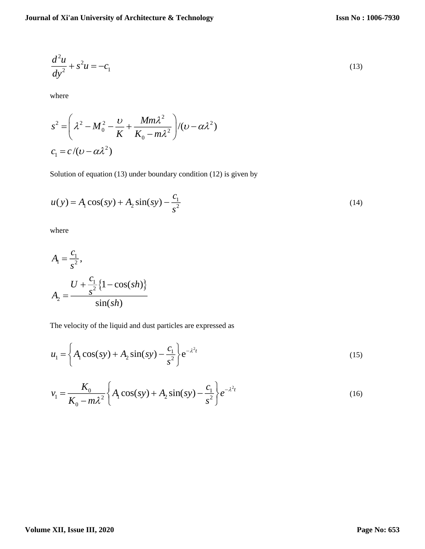$$
\frac{d^2u}{dy^2} + s^2u = -c_1\tag{13}
$$

where

$$
s^{2} = \left(\lambda^{2} - M_{0}^{2} - \frac{\nu}{K} + \frac{Mm\lambda^{2}}{K_{0} - m\lambda^{2}}\right) / (\nu - \alpha\lambda^{2})
$$
  

$$
c_{1} = c / (\nu - \alpha\lambda^{2})
$$

Solution of equation (13) under boundary condition (12) is given by

$$
u(y) = A_1 \cos(sy) + A_2 \sin(sy) - \frac{c_1}{s^2}
$$
 (14)

where

$$
A_1 = \frac{c_1}{s^2},
$$
  

$$
A_2 = \frac{U + \frac{c_1}{s^2} \{1 - \cos(sh)\}}{\sin(sh)}
$$

The velocity of the liquid and dust particles are expressed as

$$
u_1 = \left\{ A_1 \cos(sy) + A_2 \sin(sy) - \frac{c_1}{s^2} \right\} e^{-\lambda^2 t}
$$
 (15)

$$
v_1 = \frac{K_0}{K_0 - m\lambda^2} \left\{ A_1 \cos(sy) + A_2 \sin(sy) - \frac{c_1}{s^2} \right\} e^{-\lambda^2 t}
$$
 (16)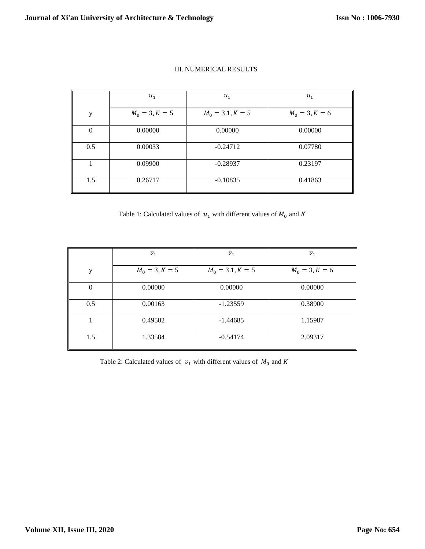|          | $u_1$            | $u_1$              | $u_1$            |
|----------|------------------|--------------------|------------------|
| y        | $M_0 = 3, K = 5$ | $M_0 = 3.1, K = 5$ | $M_0 = 3, K = 6$ |
| $\Omega$ | 0.00000          | 0.00000            | 0.00000          |
| 0.5      | 0.00033          | $-0.24712$         | 0.07780          |
|          | 0.09900          | $-0.28937$         | 0.23197          |
| 1.5      | 0.26717          | $-0.10835$         | 0.41863          |

# III. NUMERICAL RESULTS

Table 1: Calculated values of  $u_1$  with different values of  $M_0$  and  $K$ 

|          | $v_1$            | $v_1$              | $v_1$            |
|----------|------------------|--------------------|------------------|
| y        | $M_0 = 3, K = 5$ | $M_0 = 3.1, K = 5$ | $M_0 = 3, K = 6$ |
| $\theta$ | 0.00000          | 0.00000            | 0.00000          |
| 0.5      | 0.00163          | $-1.23559$         | 0.38900          |
|          | 0.49502          | $-1.44685$         | 1.15987          |
| 1.5      | 1.33584          | $-0.54174$         | 2.09317          |

Table 2: Calculated values of  $v_1$  with different values of  $M_0$  and K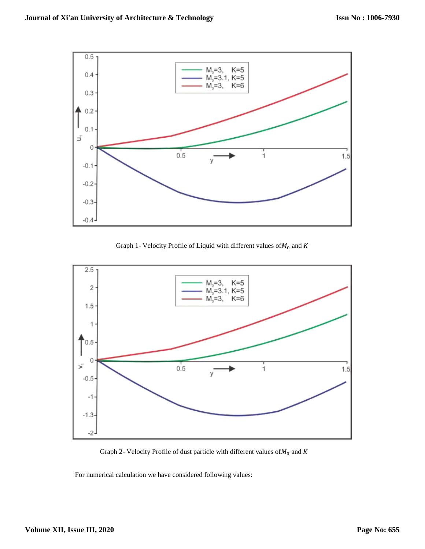

Graph 1- Velocity Profile of Liquid with different values of  $M_0$  and  $K$ 



Graph 2- Velocity Profile of dust particle with different values of  $M_0$  and  $K$ 

For numerical calculation we have considered following values: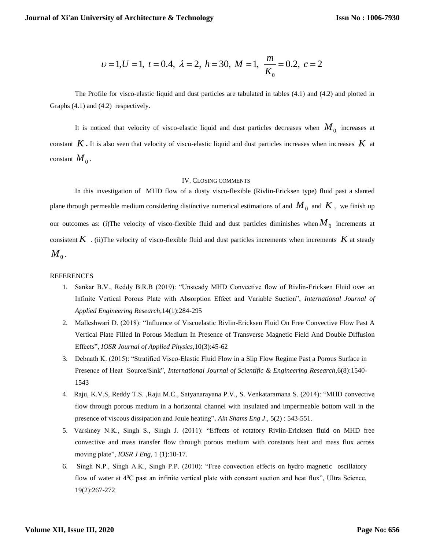$$
v=1, U=1, t=0.4, \lambda=2, h=30, M=1, \frac{m}{K_0}=0.2, c=2
$$

The Profile for visco-elastic liquid and dust particles are tabulated in tables (4.1) and (4.2) and plotted in Graphs (4.1) and (4.2) respectively.

It is noticed that velocity of visco-elastic liquid and dust particles decreases when  $M_{\rm 0}$  increases at constant  $K$ . It is also seen that velocity of visco-elastic liquid and dust particles increases when increases  $K$  at constant  $M_{_0}$  .

#### IV. CLOSING COMMENTS

In this investigation of MHD flow of a dusty visco-flexible (Rivlin-Ericksen type) fluid past a slanted plane through permeable medium considering distinctive numerical estimations of and  $M_0^{\,}$  and  $K$  , we finish up our outcomes as: (i)The velocity of visco-flexible fluid and dust particles diminishes when  $M_0$  increments at consistent  $K$  . (ii)The velocity of visco-flexible fluid and dust particles increments when increments  $K$  at steady  $M_{\rm \,o}$  .

#### REFERENCES

- 1. Sankar B.V., Reddy B.R.B (2019): "Unsteady MHD Convective flow of Rivlin-Ericksen Fluid over an Infinite Vertical Porous Plate with Absorption Effect and Variable Suction", *International Journal of Applied Engineering Research*,14(1):284-295
- 2. Malleshwari D. (2018): "Influence of Viscoelastic Rivlin-Ericksen Fluid On Free Convective Flow Past A Vertical Plate Filled In Porous Medium In Presence of Transverse Magnetic Field And Double Diffusion Effects", *IOSR Journal of Applied Physics*,10(3):45-62
- 3. Debnath K. (2015): "Stratified Visco-Elastic Fluid Flow in a Slip Flow Regime Past a Porous Surface in Presence of Heat Source/Sink", *International Journal of Scientific & Engineering Research*,6(8):1540- 1543
- 4. Raju, K.V.S, Reddy T.S. ,Raju M.C., Satyanarayana P.V., S. Venkataramana S. (2014): "MHD convective flow through porous medium in a horizontal channel with insulated and impermeable bottom wall in the presence of viscous dissipation and Joule heating", *Ain Shams Eng J*., 5(2) : 543-551.
- 5. Varshney N.K., Singh S., Singh J. (2011): "Effects of rotatory Rivlin-Ericksen fluid on MHD free convective and mass transfer flow through porous medium with constants heat and mass flux across moving plate", *IOSR J Eng*, 1 (1):10-17.
- 6. Singh N.P., Singh A.K., Singh P.P. (2010): "Free convection effects on hydro magnetic oscillatory flow of water at  $4^{\circ}C$  past an infinite vertical plate with constant suction and heat flux", Ultra Science, 19(2):267-272